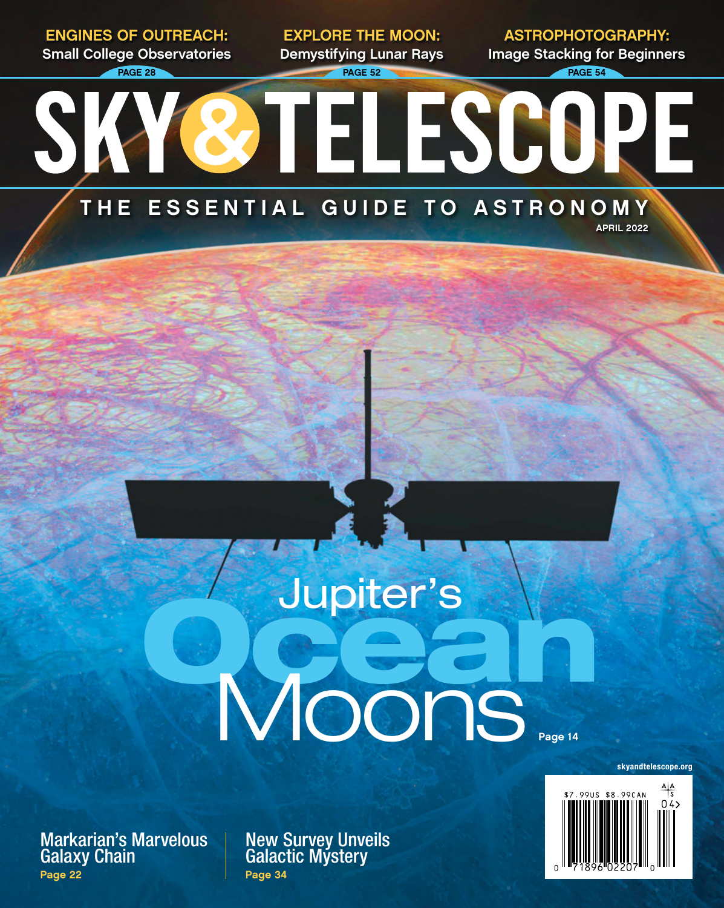PAGE 28 **PAGE 54** PAGE 52 **PAGE 54** PAGE 54 EXPLORE THE MOON: **Demystifying Lunar Rays**

ASTROPHOTOGRAPHY: **Image Stacking for Beginners**

## **STELESCOPE** THE ESSENTIAL GUIDE TO ASTRONOMY

APRIL 2022

## Jupiter's N<br>Voons Page 14

Markarian's Marvelous Galaxy Chain Page 22

ENGINES OF OUTREACH: **Small College Observatories**

SK

New Survey Unveils Galactic Mystery Page 34



skyandtelescope.org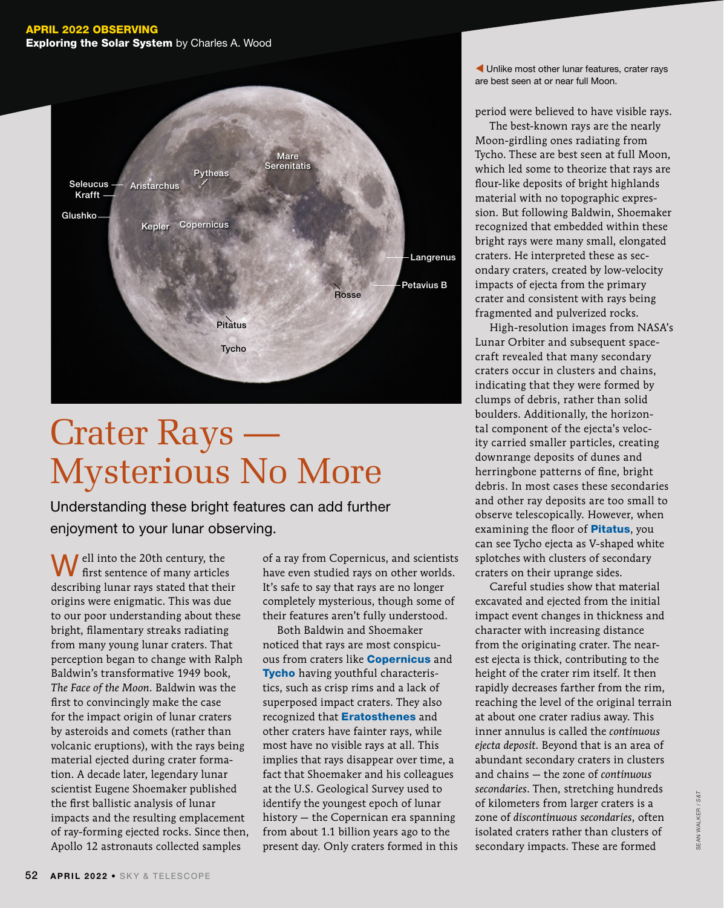## APRIL 2022 OBSERVING **Exploring the Solar System** by Charles A. Wood



## Crater Rays — Mysterious No More

Understanding these bright features can add further enjoyment to your lunar observing.

**W** ell into the 20th century, the first sentence of many articles ell into the 20th century, the describing lunar rays stated that their origins were enigmatic. This was due to our poor understanding about these bright, filamentary streaks radiating from many young lunar craters. That perception began to change with Ralph Baldwin's transformative 1949 book, *The Face of the Moon*. Baldwin was the first to convincingly make the case for the impact origin of lunar craters by asteroids and comets (rather than volcanic eruptions), with the rays being material ejected during crater formation. A decade later, legendary lunar scientist Eugene Shoemaker published the first ballistic analysis of lunar impacts and the resulting emplacement of ray-forming ejected rocks. Since then, Apollo 12 astronauts collected samples

of a ray from Copernicus, and scientists have even studied rays on other worlds. It's safe to say that rays are no longer completely mysterious, though some of their features aren't fully understood.

Both Baldwin and Shoemaker noticed that rays are most conspicuous from craters like **Copernicus** and Tycho having youthful characteristics, such as crisp rims and a lack of superposed impact craters. They also recognized that **Eratosthenes** and other craters have fainter rays, while most have no visible rays at all. This implies that rays disappear over time, a fact that Shoemaker and his colleagues at the U.S. Geological Survey used to identify the youngest epoch of lunar history — the Copernican era spanning from about 1.1 billion years ago to the present day. Only craters formed in this  Unlike most other lunar features, crater rays are best seen at or near full Moon.

period were believed to have visible rays.

The best-known rays are the nearly Moon-girdling ones radiating from Tycho. These are best seen at full Moon, which led some to theorize that rays are flour-like deposits of bright highlands material with no topographic expression. But following Baldwin, Shoemaker recognized that embedded within these bright rays were many small, elongated craters. He interpreted these as secondary craters, created by low-velocity impacts of ejecta from the primary crater and consistent with rays being fragmented and pulverized rocks.

High-resolution images from NASA's Lunar Orbiter and subsequent spacecraft revealed that many secondary craters occur in clusters and chains, indicating that they were formed by clumps of debris, rather than solid boulders. Additionally, the horizontal component of the ejecta's velocity carried smaller particles, creating downrange deposits of dunes and herringbone patterns of fine, bright debris. In most cases these secondaries and other ray deposits are too small to observe telescopically. However, when examining the floor of **Pitatus**, you can see Tycho ejecta as V-shaped white splotches with clusters of secondary craters on their uprange sides.

Careful studies show that material excavated and ejected from the initial impact event changes in thickness and character with increasing distance from the originating crater. The nearest ejecta is thick, contributing to the height of the crater rim itself. It then rapidly decreases farther from the rim, reaching the level of the original terrain at about one crater radius away. This inner annulus is called the *continuous ejecta deposit*. Beyond that is an area of abundant secondary craters in clusters and chains — the zone of *continuous secondaries*. Then, stretching hundreds of kilometers from larger craters is a zone of *discontinuous secondaries*, often isolated craters rather than clusters of secondary impacts. These are formed